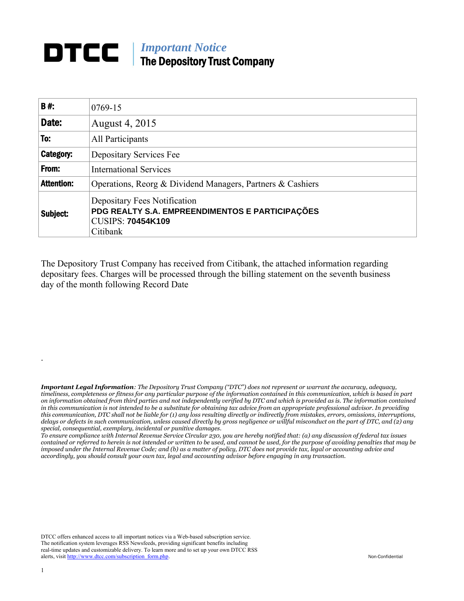## *Important Notice* The Depository Trust Company

| B#:               | 0769-15                                                                                                                 |  |  |  |
|-------------------|-------------------------------------------------------------------------------------------------------------------------|--|--|--|
| Date:             | August 4, 2015                                                                                                          |  |  |  |
| To:               | All Participants                                                                                                        |  |  |  |
| Category:         | Depositary Services Fee                                                                                                 |  |  |  |
| From:             | <b>International Services</b>                                                                                           |  |  |  |
| <b>Attention:</b> | Operations, Reorg & Dividend Managers, Partners & Cashiers                                                              |  |  |  |
| Subject:          | Depositary Fees Notification<br>PDG REALTY S.A. EMPREENDIMENTOS E PARTICIPAÇÕES<br><b>CUSIPS: 70454K109</b><br>Citibank |  |  |  |

The Depository Trust Company has received from Citibank, the attached information regarding depositary fees. Charges will be processed through the billing statement on the seventh business day of the month following Record Date

*Important Legal Information: The Depository Trust Company ("DTC") does not represent or warrant the accuracy, adequacy, timeliness, completeness or fitness for any particular purpose of the information contained in this communication, which is based in part on information obtained from third parties and not independently verified by DTC and which is provided as is. The information contained in this communication is not intended to be a substitute for obtaining tax advice from an appropriate professional advisor. In providing this communication, DTC shall not be liable for (1) any loss resulting directly or indirectly from mistakes, errors, omissions, interruptions, delays or defects in such communication, unless caused directly by gross negligence or willful misconduct on the part of DTC, and (2) any special, consequential, exemplary, incidental or punitive damages.* 

*To ensure compliance with Internal Revenue Service Circular 230, you are hereby notified that: (a) any discussion of federal tax issues contained or referred to herein is not intended or written to be used, and cannot be used, for the purpose of avoiding penalties that may be imposed under the Internal Revenue Code; and (b) as a matter of policy, DTC does not provide tax, legal or accounting advice and accordingly, you should consult your own tax, legal and accounting advisor before engaging in any transaction.*

DTCC offers enhanced access to all important notices via a Web-based subscription service. The notification system leverages RSS Newsfeeds, providing significant benefits including real-time updates and customizable delivery. To learn more and to set up your own DTCC RSS alerts, visit [http://www.dtcc.com/subscription\\_form.php.](http://www.dtcc.com/subscription_form.php) Non-Confidential

.